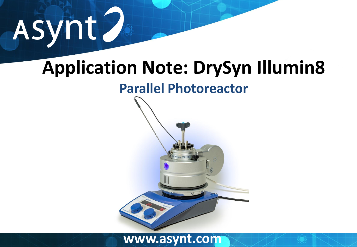# Asynt.

# **Application Note: DrySyn Illumin8**

## **Parallel Photoreactor**

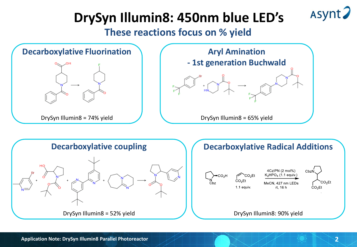# **DrySyn Illumin8: 450nm blue LED's**

**These reactions focus on % yield**





Asynt?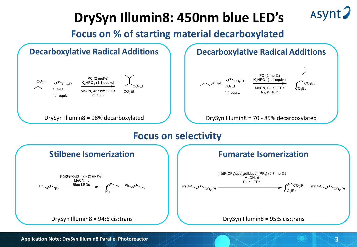# **DrySyn Illumin8: 450nm blue LED's**

**Focus on % of starting material decarboxylated**



Asynt?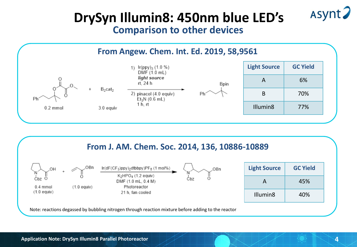### **DrySyn Illumin8: 450nm blue LED's Comparison to other devices**





Asynt.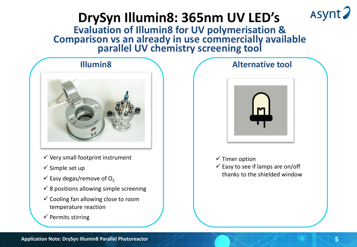# **DrySyn Illumin8: 365nm UV LED's**

**www.assynt.com Evaluation of Illumin8 for UV polymerisation & Comparison vs an already in use commercially available parallel UV chemistry screening tool**

### **Illumin8**



- $\checkmark$  Very small footprint instrument
- $\checkmark$  Simple set up
- $\checkmark$  Easy degas/remove of O<sub>2</sub>
- $\checkmark$  8 positions allowing simple screening
- $\checkmark$  Cooling fan allowing close to room temperature reaction
- $\checkmark$  Permits stirring

# **Alternative tool**

### $\checkmark$  Timer option

 $\checkmark$  Easy to see if lamps are on/off thanks to the shielded window Asynt?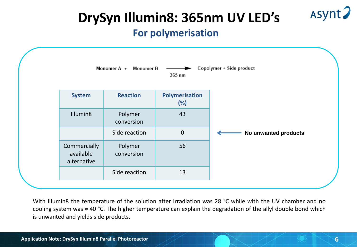

# **DrySyn Illumin8: 365nm UV LED's**

### **For polymerisation**



With Illumin8 the temperature of the solution after irradiation was 28 °C while with the UV chamber and no cooling system was ≈ 40 °C. The higher temperature can explain the degradation of the allyl double bond which is unwanted and yields side products.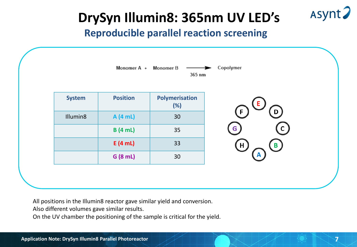**DrySyn Illumin8: 365nm UV LED's**

### **Reproducible parallel reaction screening**

| Copolymer<br>Monomer A +<br>Monomer B<br>365 nm |                 |                       |                     |
|-------------------------------------------------|-----------------|-----------------------|---------------------|
| <b>System</b>                                   | <b>Position</b> | Polymerisation<br>(%) | E.                  |
| Illumin8                                        | A (4 mL)        | 30                    | $\mathbf{D}$<br>(F) |
|                                                 | B(4 mL)         | 35                    | C<br>G.             |
|                                                 | E(4 mL)         | 33                    | Œ<br>B              |
|                                                 | G (8 mL)        | 30                    | A                   |

**7**

Asynt?

All positions in the Illumin8 reactor gave similar yield and conversion.

Also different volumes gave similar results.

On the UV chamber the positioning of the sample is critical for the yield.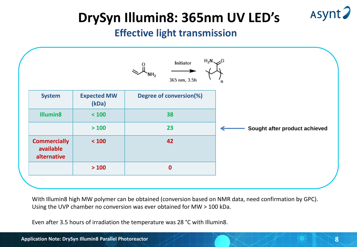Asynt?

# **DrySyn Illumin8: 365nm UV LED's**

### **Effective light transmission**



With Illumin8 high MW polymer can be obtained (conversion based on NMR data, need confirmation by GPC). Using the UVP chamber no conversion was ever obtained for MW > 100 kDa.

Even after 3.5 hours of irradiation the temperature was 28 °C with Illumin8.